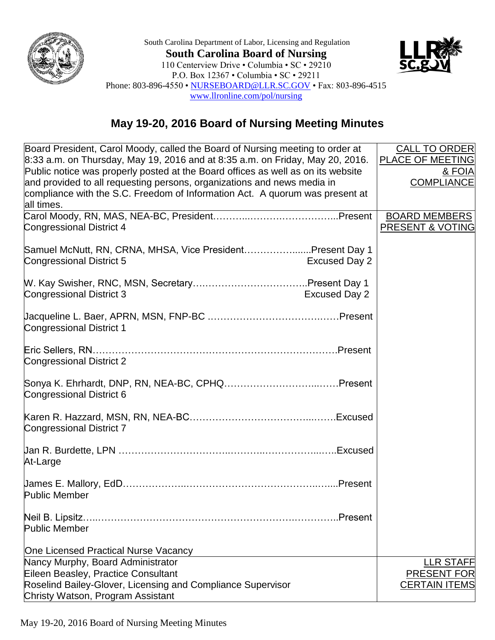

South Carolina Department of Labor, Licensing and Regulation **South Carolina Board of Nursing** 110 Centerview Drive • Columbia • SC • 29210 P.O. Box 12367 • Columbia • SC • 29211 Phone: 803-896-4550 • [NURSEBOARD@LLR.SC.GOV](mailto:NURSEBOARD@LLR.SC.GOV) • Fax: 803-896-4515 [www.llronline.com/pol/nursing](http://www.llronline.com/pol/nursing)



## **May 19-20, 2016 Board of Nursing Meeting Minutes**

| Board President, Carol Moody, called the Board of Nursing meeting to order at<br>8:33 a.m. on Thursday, May 19, 2016 and at 8:35 a.m. on Friday, May 20, 2016.<br>Public notice was properly posted at the Board offices as well as on its website<br>and provided to all requesting persons, organizations and news media in<br>compliance with the S.C. Freedom of Information Act. A quorum was present at<br>all times. | <b>CALL TO ORDER</b><br>PLACE OF MEETING<br>& FOIA<br><b>COMPLIANCE</b> |
|-----------------------------------------------------------------------------------------------------------------------------------------------------------------------------------------------------------------------------------------------------------------------------------------------------------------------------------------------------------------------------------------------------------------------------|-------------------------------------------------------------------------|
| Congressional District 4                                                                                                                                                                                                                                                                                                                                                                                                    | <b>BOARD MEMBERS</b><br>PRESENT & VOTING                                |
| Samuel McNutt, RN, CRNA, MHSA, Vice PresidentPresent Day 1<br>Congressional District 5<br><b>Excused Day 2</b>                                                                                                                                                                                                                                                                                                              |                                                                         |
| <b>Excused Day 2</b><br>Congressional District 3                                                                                                                                                                                                                                                                                                                                                                            |                                                                         |
| <b>Congressional District 1</b>                                                                                                                                                                                                                                                                                                                                                                                             |                                                                         |
| Congressional District 2                                                                                                                                                                                                                                                                                                                                                                                                    |                                                                         |
| Congressional District 6                                                                                                                                                                                                                                                                                                                                                                                                    |                                                                         |
| <b>Congressional District 7</b>                                                                                                                                                                                                                                                                                                                                                                                             |                                                                         |
| At-Large                                                                                                                                                                                                                                                                                                                                                                                                                    |                                                                         |
| <b>Public Member</b>                                                                                                                                                                                                                                                                                                                                                                                                        |                                                                         |
| Neil B. Lipsitz.<br>.Present<br>Public Member                                                                                                                                                                                                                                                                                                                                                                               |                                                                         |
| One Licensed Practical Nurse Vacancy                                                                                                                                                                                                                                                                                                                                                                                        |                                                                         |
| Nancy Murphy, Board Administrator                                                                                                                                                                                                                                                                                                                                                                                           | <b>LLR STAFF</b>                                                        |
| Eileen Beasley, Practice Consultant                                                                                                                                                                                                                                                                                                                                                                                         | <b>PRESENT FOR</b>                                                      |
| Roselind Bailey-Glover, Licensing and Compliance Supervisor<br>Christy Watson, Program Assistant                                                                                                                                                                                                                                                                                                                            | <b>CERTAIN ITEMS</b>                                                    |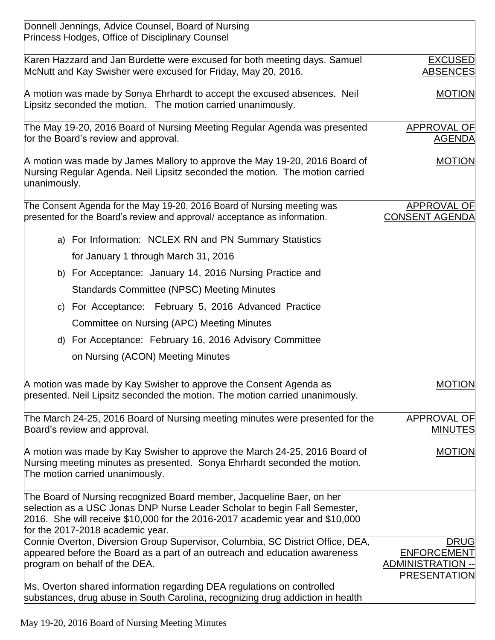| Donnell Jennings, Advice Counsel, Board of Nursing<br>Princess Hodges, Office of Disciplinary Counsel                                                                                                                                                                  |                                                                                      |
|------------------------------------------------------------------------------------------------------------------------------------------------------------------------------------------------------------------------------------------------------------------------|--------------------------------------------------------------------------------------|
| Karen Hazzard and Jan Burdette were excused for both meeting days. Samuel<br>McNutt and Kay Swisher were excused for Friday, May 20, 2016.                                                                                                                             | <b>EXCUSED</b><br><b>ABSENCES</b>                                                    |
| A motion was made by Sonya Ehrhardt to accept the excused absences. Neil<br>Lipsitz seconded the motion. The motion carried unanimously.                                                                                                                               | <b>MOTION</b>                                                                        |
| The May 19-20, 2016 Board of Nursing Meeting Regular Agenda was presented<br>for the Board's review and approval.                                                                                                                                                      | APPROVAL OF<br><b>AGENDA</b>                                                         |
| A motion was made by James Mallory to approve the May 19-20, 2016 Board of<br>Nursing Regular Agenda. Neil Lipsitz seconded the motion. The motion carried<br>unanimously.                                                                                             | <b>MOTION</b>                                                                        |
| The Consent Agenda for the May 19-20, 2016 Board of Nursing meeting was<br>presented for the Board's review and approval/acceptance as information.                                                                                                                    | <b>APPROVAL OF</b><br><b>CONSENT AGENDA</b>                                          |
| a) For Information: NCLEX RN and PN Summary Statistics                                                                                                                                                                                                                 |                                                                                      |
| for January 1 through March 31, 2016                                                                                                                                                                                                                                   |                                                                                      |
| b) For Acceptance: January 14, 2016 Nursing Practice and                                                                                                                                                                                                               |                                                                                      |
| <b>Standards Committee (NPSC) Meeting Minutes</b>                                                                                                                                                                                                                      |                                                                                      |
| c) For Acceptance: February 5, 2016 Advanced Practice                                                                                                                                                                                                                  |                                                                                      |
| Committee on Nursing (APC) Meeting Minutes                                                                                                                                                                                                                             |                                                                                      |
| d) For Acceptance: February 16, 2016 Advisory Committee                                                                                                                                                                                                                |                                                                                      |
| on Nursing (ACON) Meeting Minutes                                                                                                                                                                                                                                      |                                                                                      |
| A motion was made by Kay Swisher to approve the Consent Agenda as<br>presented. Neil Lipsitz seconded the motion. The motion carried unanimously.                                                                                                                      | <b>MOTION</b>                                                                        |
| The March 24-25, 2016 Board of Nursing meeting minutes were presented for the<br>Board's review and approval.                                                                                                                                                          | <b>APPROVAL OF</b><br><b>MINUTES</b>                                                 |
| A motion was made by Kay Swisher to approve the March 24-25, 2016 Board of<br>Nursing meeting minutes as presented. Sonya Ehrhardt seconded the motion.<br>The motion carried unanimously.                                                                             | <b>MOTION</b>                                                                        |
| The Board of Nursing recognized Board member, Jacqueline Baer, on her<br>selection as a USC Jonas DNP Nurse Leader Scholar to begin Fall Semester,<br>2016. She will receive \$10,000 for the 2016-2017 academic year and \$10,000<br>for the 2017-2018 academic year. |                                                                                      |
| Connie Overton, Diversion Group Supervisor, Columbia, SC District Office, DEA,<br>appeared before the Board as a part of an outreach and education awareness<br>program on behalf of the DEA.                                                                          | <b>DRUG</b><br><b>ENFORCEMENT</b><br><b>ADMINISTRATION --</b><br><b>PRESENTATION</b> |
| Ms. Overton shared information regarding DEA regulations on controlled<br>substances, drug abuse in South Carolina, recognizing drug addiction in health                                                                                                               |                                                                                      |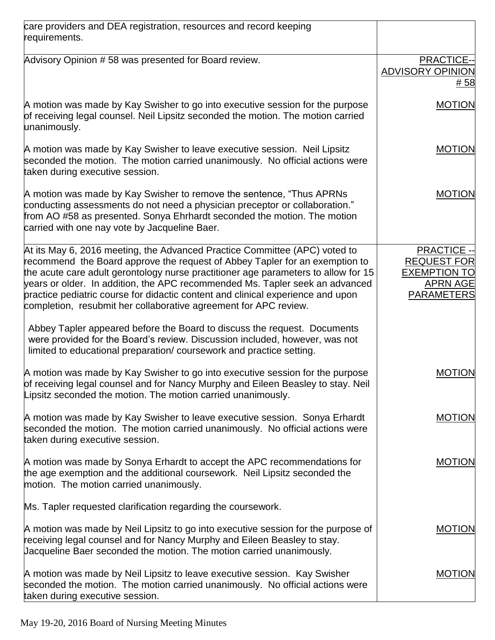| care providers and DEA registration, resources and record keeping<br>requirements.                                                                                                                                                                                                                                                                                                                                                                                                     |                                                                                                         |
|----------------------------------------------------------------------------------------------------------------------------------------------------------------------------------------------------------------------------------------------------------------------------------------------------------------------------------------------------------------------------------------------------------------------------------------------------------------------------------------|---------------------------------------------------------------------------------------------------------|
| Advisory Opinion # 58 was presented for Board review.                                                                                                                                                                                                                                                                                                                                                                                                                                  | <b>PRACTICE--</b><br><b>ADVISORY OPINION</b><br># 58                                                    |
| A motion was made by Kay Swisher to go into executive session for the purpose<br>of receiving legal counsel. Neil Lipsitz seconded the motion. The motion carried<br>unanimously.                                                                                                                                                                                                                                                                                                      | <b>MOTION</b>                                                                                           |
| A motion was made by Kay Swisher to leave executive session. Neil Lipsitz<br>seconded the motion. The motion carried unanimously. No official actions were<br>taken during executive session.                                                                                                                                                                                                                                                                                          | <b>MOTION</b>                                                                                           |
| A motion was made by Kay Swisher to remove the sentence, "Thus APRNs"<br>conducting assessments do not need a physician preceptor or collaboration."<br>from AO #58 as presented. Sonya Ehrhardt seconded the motion. The motion<br>carried with one nay vote by Jacqueline Baer.                                                                                                                                                                                                      | <b>MOTION</b>                                                                                           |
| At its May 6, 2016 meeting, the Advanced Practice Committee (APC) voted to<br>recommend the Board approve the request of Abbey Tapler for an exemption to<br>the acute care adult gerontology nurse practitioner age parameters to allow for 15<br>years or older. In addition, the APC recommended Ms. Tapler seek an advanced<br>practice pediatric course for didactic content and clinical experience and upon<br>completion, resubmit her collaborative agreement for APC review. | <b>PRACTICE --</b><br><b>REQUEST FOR</b><br><b>EXEMPTION TO</b><br><b>APRN AGE</b><br><b>PARAMETERS</b> |
| Abbey Tapler appeared before the Board to discuss the request. Documents<br>were provided for the Board's review. Discussion included, however, was not<br>limited to educational preparation/coursework and practice setting.                                                                                                                                                                                                                                                         |                                                                                                         |
| A motion was made by Kay Swisher to go into executive session for the purpose<br>of receiving legal counsel and for Nancy Murphy and Eileen Beasley to stay. Neil<br>Lipsitz seconded the motion. The motion carried unanimously.                                                                                                                                                                                                                                                      | <b>MOTION</b>                                                                                           |
| A motion was made by Kay Swisher to leave executive session. Sonya Erhardt<br>seconded the motion. The motion carried unanimously. No official actions were<br>taken during executive session.                                                                                                                                                                                                                                                                                         | <b>MOTION</b>                                                                                           |
| A motion was made by Sonya Erhardt to accept the APC recommendations for<br>the age exemption and the additional coursework. Neil Lipsitz seconded the<br>motion. The motion carried unanimously.                                                                                                                                                                                                                                                                                      | <b>MOTION</b>                                                                                           |
| Ms. Tapler requested clarification regarding the coursework.                                                                                                                                                                                                                                                                                                                                                                                                                           |                                                                                                         |
| A motion was made by Neil Lipsitz to go into executive session for the purpose of<br>receiving legal counsel and for Nancy Murphy and Eileen Beasley to stay.<br>Jacqueline Baer seconded the motion. The motion carried unanimously.                                                                                                                                                                                                                                                  | <b>MOTION</b>                                                                                           |
| A motion was made by Neil Lipsitz to leave executive session. Kay Swisher<br>seconded the motion. The motion carried unanimously. No official actions were<br>taken during executive session.                                                                                                                                                                                                                                                                                          | <b>MOTION</b>                                                                                           |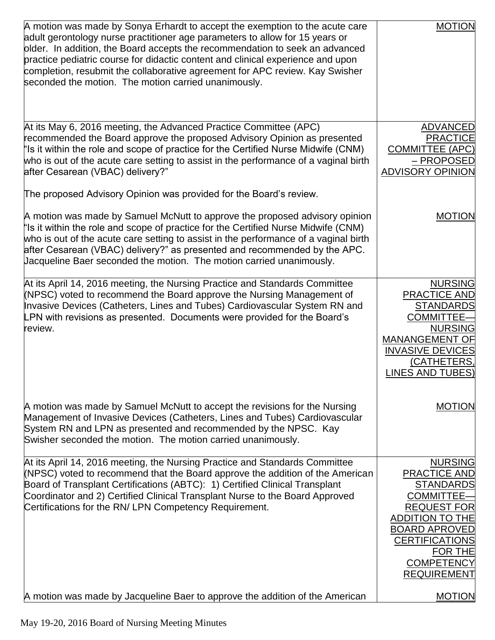| A motion was made by Sonya Erhardt to accept the exemption to the acute care<br>adult gerontology nurse practitioner age parameters to allow for 15 years or<br>older. In addition, the Board accepts the recommendation to seek an advanced<br>practice pediatric course for didactic content and clinical experience and upon<br>completion, resubmit the collaborative agreement for APC review. Kay Swisher<br>seconded the motion. The motion carried unanimously. | <b>MOTION</b>                                                                                                                                                                                                                                |
|-------------------------------------------------------------------------------------------------------------------------------------------------------------------------------------------------------------------------------------------------------------------------------------------------------------------------------------------------------------------------------------------------------------------------------------------------------------------------|----------------------------------------------------------------------------------------------------------------------------------------------------------------------------------------------------------------------------------------------|
| At its May 6, 2016 meeting, the Advanced Practice Committee (APC)<br>recommended the Board approve the proposed Advisory Opinion as presented<br>"Is it within the role and scope of practice for the Certified Nurse Midwife (CNM)<br>who is out of the acute care setting to assist in the performance of a vaginal birth<br>after Cesarean (VBAC) delivery?"<br>The proposed Advisory Opinion was provided for the Board's review.                                   | <b>ADVANCED</b><br><b>PRACTICE</b><br><b>COMMITTEE (APC)</b><br>– PROPOSED<br><b>ADVISORY OPINION</b>                                                                                                                                        |
| A motion was made by Samuel McNutt to approve the proposed advisory opinion<br>'Is it within the role and scope of practice for the Certified Nurse Midwife (CNM)<br>who is out of the acute care setting to assist in the performance of a vaginal birth<br>after Cesarean (VBAC) delivery?" as presented and recommended by the APC.<br>Jacqueline Baer seconded the motion. The motion carried unanimously.                                                          | <b>MOTION</b>                                                                                                                                                                                                                                |
| At its April 14, 2016 meeting, the Nursing Practice and Standards Committee<br>(NPSC) voted to recommend the Board approve the Nursing Management of<br>Invasive Devices (Catheters, Lines and Tubes) Cardiovascular System RN and<br>LPN with revisions as presented. Documents were provided for the Board's<br>review.                                                                                                                                               | <b>NURSING</b><br><b>PRACTICE AND</b><br><b>STANDARDS</b><br><b>COMMITTEE-</b><br><b>NURSING</b><br><b>MANANGEMENT OF</b><br><b>INVASIVE DEVICES</b><br>(CATHETERS,<br><b>LINES AND TUBES)</b>                                               |
| A motion was made by Samuel McNutt to accept the revisions for the Nursing<br>Management of Invasive Devices (Catheters, Lines and Tubes) Cardiovascular<br>System RN and LPN as presented and recommended by the NPSC. Kay<br>Swisher seconded the motion. The motion carried unanimously.                                                                                                                                                                             | <b>MOTION</b>                                                                                                                                                                                                                                |
| At its April 14, 2016 meeting, the Nursing Practice and Standards Committee<br>(NPSC) voted to recommend that the Board approve the addition of the American<br>Board of Transplant Certifications (ABTC): 1) Certified Clinical Transplant<br>Coordinator and 2) Certified Clinical Transplant Nurse to the Board Approved<br>Certifications for the RN/LPN Competency Requirement.                                                                                    | <b>NURSING</b><br><b>PRACTICE AND</b><br><b>STANDARDS</b><br><b>COMMITTEE-</b><br><b>REQUEST FOR</b><br><b>ADDITION TO THE</b><br><b>BOARD APROVED</b><br><b>CERTIFICATIONS</b><br><b>FOR THE</b><br><b>COMPETENCY</b><br><b>REQUIREMENT</b> |
| A motion was made by Jacqueline Baer to approve the addition of the American                                                                                                                                                                                                                                                                                                                                                                                            | <b>MOTION</b>                                                                                                                                                                                                                                |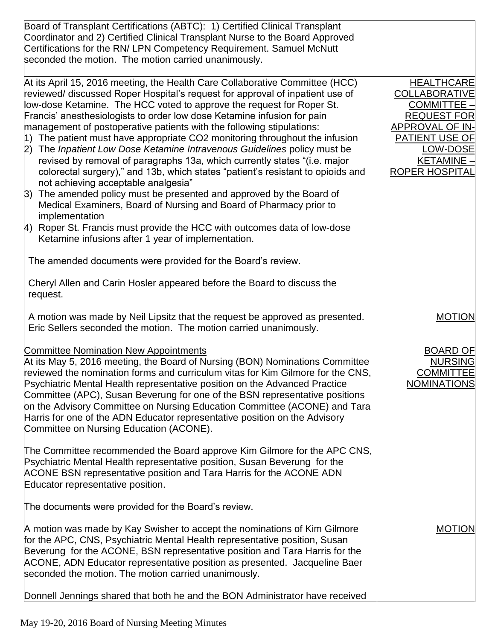| Board of Transplant Certifications (ABTC): 1) Certified Clinical Transplant<br>Coordinator and 2) Certified Clinical Transplant Nurse to the Board Approved<br>Certifications for the RN/ LPN Competency Requirement. Samuel McNutt<br>seconded the motion. The motion carried unanimously.                                                                                                                                                                                                                                                                                                                                                                                                                                                                                                                                                                                                                                                                                                                                                                                |                                                                                                                                                                        |
|----------------------------------------------------------------------------------------------------------------------------------------------------------------------------------------------------------------------------------------------------------------------------------------------------------------------------------------------------------------------------------------------------------------------------------------------------------------------------------------------------------------------------------------------------------------------------------------------------------------------------------------------------------------------------------------------------------------------------------------------------------------------------------------------------------------------------------------------------------------------------------------------------------------------------------------------------------------------------------------------------------------------------------------------------------------------------|------------------------------------------------------------------------------------------------------------------------------------------------------------------------|
| At its April 15, 2016 meeting, the Health Care Collaborative Committee (HCC)<br>reviewed/ discussed Roper Hospital's request for approval of inpatient use of<br>low-dose Ketamine. The HCC voted to approve the request for Roper St.<br>Francis' anesthesiologists to order low dose Ketamine infusion for pain<br>management of postoperative patients with the following stipulations:<br>$ 1\rangle$ The patient must have appropriate CO2 monitoring throughout the infusion<br>2) The Inpatient Low Dose Ketamine Intravenous Guidelines policy must be<br>revised by removal of paragraphs 13a, which currently states "(i.e. major<br>colorectal surgery)," and 13b, which states "patient's resistant to opioids and<br>not achieving acceptable analgesia"<br>The amended policy must be presented and approved by the Board of<br>3)<br>Medical Examiners, Board of Nursing and Board of Pharmacy prior to<br>implementation<br>4) Roper St. Francis must provide the HCC with outcomes data of low-dose<br>Ketamine infusions after 1 year of implementation. | <b>HEALTHCARE</b><br><b>COLLABORATIVE</b><br>COMMITTEE -<br><b>REQUEST FOR</b><br>APPROVAL OF IN-<br>PATIENT USE OF<br>LOW-DOSE<br>KETAMINE -<br><b>ROPER HOSPITAL</b> |
| The amended documents were provided for the Board's review.<br>Cheryl Allen and Carin Hosler appeared before the Board to discuss the<br>request.                                                                                                                                                                                                                                                                                                                                                                                                                                                                                                                                                                                                                                                                                                                                                                                                                                                                                                                          |                                                                                                                                                                        |
| A motion was made by Neil Lipsitz that the request be approved as presented.<br>Eric Sellers seconded the motion. The motion carried unanimously.                                                                                                                                                                                                                                                                                                                                                                                                                                                                                                                                                                                                                                                                                                                                                                                                                                                                                                                          | <b>MOTION</b>                                                                                                                                                          |
| <b>Committee Nomination New Appointments</b><br>At its May 5, 2016 meeting, the Board of Nursing (BON) Nominations Committee<br>reviewed the nomination forms and curriculum vitas for Kim Gilmore for the CNS,<br>Psychiatric Mental Health representative position on the Advanced Practice<br>Committee (APC), Susan Beverung for one of the BSN representative positions<br>on the Advisory Committee on Nursing Education Committee (ACONE) and Tara<br>Harris for one of the ADN Educator representative position on the Advisory<br>Committee on Nursing Education (ACONE).                                                                                                                                                                                                                                                                                                                                                                                                                                                                                         | <b>BOARD OF</b><br><b>NURSING</b><br><b>COMMITTEE</b><br><b>NOMINATIONS</b>                                                                                            |
| The Committee recommended the Board approve Kim Gilmore for the APC CNS,<br>Psychiatric Mental Health representative position, Susan Beverung for the<br>ACONE BSN representative position and Tara Harris for the ACONE ADN<br>Educator representative position.                                                                                                                                                                                                                                                                                                                                                                                                                                                                                                                                                                                                                                                                                                                                                                                                          |                                                                                                                                                                        |
| The documents were provided for the Board's review.                                                                                                                                                                                                                                                                                                                                                                                                                                                                                                                                                                                                                                                                                                                                                                                                                                                                                                                                                                                                                        |                                                                                                                                                                        |
| A motion was made by Kay Swisher to accept the nominations of Kim Gilmore<br>for the APC, CNS, Psychiatric Mental Health representative position, Susan<br>Beverung for the ACONE, BSN representative position and Tara Harris for the<br>ACONE, ADN Educator representative position as presented. Jacqueline Baer<br>seconded the motion. The motion carried unanimously.                                                                                                                                                                                                                                                                                                                                                                                                                                                                                                                                                                                                                                                                                                | <b>MOTION</b>                                                                                                                                                          |
| Donnell Jennings shared that both he and the BON Administrator have received                                                                                                                                                                                                                                                                                                                                                                                                                                                                                                                                                                                                                                                                                                                                                                                                                                                                                                                                                                                               |                                                                                                                                                                        |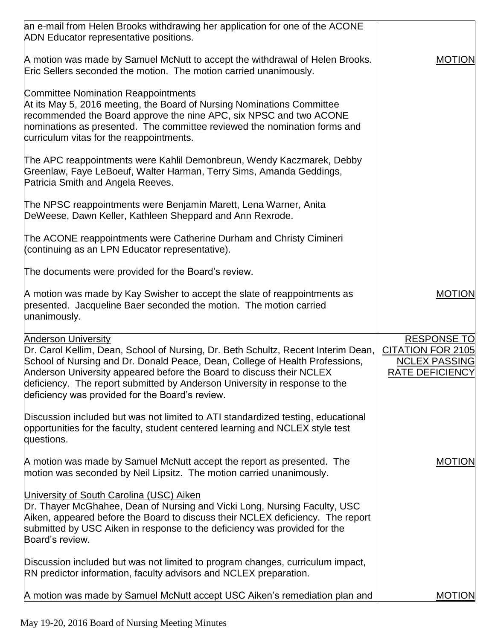| an e-mail from Helen Brooks withdrawing her application for one of the ACONE<br>ADN Educator representative positions.                                                                                                                                                                                                                                                                                   |                                                                                                  |
|----------------------------------------------------------------------------------------------------------------------------------------------------------------------------------------------------------------------------------------------------------------------------------------------------------------------------------------------------------------------------------------------------------|--------------------------------------------------------------------------------------------------|
| A motion was made by Samuel McNutt to accept the withdrawal of Helen Brooks.<br>Eric Sellers seconded the motion. The motion carried unanimously.                                                                                                                                                                                                                                                        | <b>MOTION</b>                                                                                    |
| <b>Committee Nomination Reappointments</b><br>At its May 5, 2016 meeting, the Board of Nursing Nominations Committee<br>recommended the Board approve the nine APC, six NPSC and two ACONE<br>nominations as presented. The committee reviewed the nomination forms and<br>curriculum vitas for the reappointments.                                                                                      |                                                                                                  |
| The APC reappointments were Kahlil Demonbreun, Wendy Kaczmarek, Debby<br>Greenlaw, Faye LeBoeuf, Walter Harman, Terry Sims, Amanda Geddings,<br>Patricia Smith and Angela Reeves.                                                                                                                                                                                                                        |                                                                                                  |
| The NPSC reappointments were Benjamin Marett, Lena Warner, Anita<br>DeWeese, Dawn Keller, Kathleen Sheppard and Ann Rexrode.                                                                                                                                                                                                                                                                             |                                                                                                  |
| The ACONE reappointments were Catherine Durham and Christy Cimineri<br>(continuing as an LPN Educator representative).                                                                                                                                                                                                                                                                                   |                                                                                                  |
| The documents were provided for the Board's review.                                                                                                                                                                                                                                                                                                                                                      |                                                                                                  |
| A motion was made by Kay Swisher to accept the slate of reappointments as<br>presented. Jacqueline Baer seconded the motion. The motion carried<br>unanimously.                                                                                                                                                                                                                                          | <b>MOTION</b>                                                                                    |
| <b>Anderson University</b><br>Dr. Carol Kellim, Dean, School of Nursing, Dr. Beth Schultz, Recent Interim Dean,<br>School of Nursing and Dr. Donald Peace, Dean, College of Health Professions,<br>Anderson University appeared before the Board to discuss their NCLEX<br>deficiency. The report submitted by Anderson University in response to the<br>deficiency was provided for the Board's review. | <b>RESPONSE TO</b><br><b>CITATION FOR 2105</b><br><b>NCLEX PASSING</b><br><b>RATE DEFICIENCY</b> |
| Discussion included but was not limited to ATI standardized testing, educational<br>opportunities for the faculty, student centered learning and NCLEX style test<br>questions.                                                                                                                                                                                                                          |                                                                                                  |
| A motion was made by Samuel McNutt accept the report as presented. The<br>motion was seconded by Neil Lipsitz. The motion carried unanimously.                                                                                                                                                                                                                                                           | <b>MOTION</b>                                                                                    |
| University of South Carolina (USC) Aiken<br>Dr. Thayer McGhahee, Dean of Nursing and Vicki Long, Nursing Faculty, USC<br>Aiken, appeared before the Board to discuss their NCLEX deficiency. The report<br>submitted by USC Aiken in response to the deficiency was provided for the<br>Board's review.                                                                                                  |                                                                                                  |
| Discussion included but was not limited to program changes, curriculum impact,<br>RN predictor information, faculty advisors and NCLEX preparation.                                                                                                                                                                                                                                                      |                                                                                                  |
| A motion was made by Samuel McNutt accept USC Aiken's remediation plan and                                                                                                                                                                                                                                                                                                                               | <b>MOTION</b>                                                                                    |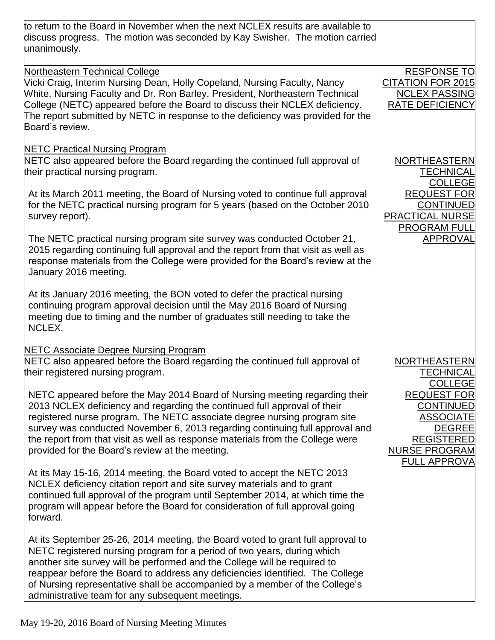| to return to the Board in November when the next NCLEX results are available to<br>discuss progress. The motion was seconded by Kay Swisher. The motion carried<br>unanimously.                                                                                                                                                                                                                                                                             |                                                                                                                                                 |
|-------------------------------------------------------------------------------------------------------------------------------------------------------------------------------------------------------------------------------------------------------------------------------------------------------------------------------------------------------------------------------------------------------------------------------------------------------------|-------------------------------------------------------------------------------------------------------------------------------------------------|
| <b>Northeastern Technical College</b><br>Vicki Craig, Interim Nursing Dean, Holly Copeland, Nursing Faculty, Nancy<br>White, Nursing Faculty and Dr. Ron Barley, President, Northeastern Technical<br>College (NETC) appeared before the Board to discuss their NCLEX deficiency.<br>The report submitted by NETC in response to the deficiency was provided for the<br>Board's review.                                                                     | <b>RESPONSE TO</b><br><b>CITATION FOR 2015</b><br><b>NCLEX PASSING</b><br><b>RATE DEFICIENCY</b>                                                |
| <b>NETC Practical Nursing Program</b><br>NETC also appeared before the Board regarding the continued full approval of<br>their practical nursing program.<br>At its March 2011 meeting, the Board of Nursing voted to continue full approval<br>for the NETC practical nursing program for 5 years (based on the October 2010<br>survey report).                                                                                                            | <b>NORTHEASTERN</b><br><b>TECHNICAL</b><br><b>COLLEGE</b><br><b>REQUEST FOR</b><br><b>CONTINUED</b><br><b>PRACTICAL NURSE</b>                   |
| The NETC practical nursing program site survey was conducted October 21,<br>2015 regarding continuing full approval and the report from that visit as well as<br>response materials from the College were provided for the Board's review at the<br>January 2016 meeting.<br>At its January 2016 meeting, the BON voted to defer the practical nursing<br>continuing program approval decision until the May 2016 Board of Nursing                          | <b>PROGRAM FULL</b><br><b>APPROVAL</b>                                                                                                          |
| meeting due to timing and the number of graduates still needing to take the<br>NCLEX.<br><b>NETC Associate Degree Nursing Program</b><br>NETC also appeared before the Board regarding the continued full approval of<br>their registered nursing program.                                                                                                                                                                                                  | <b>NORTHEASTERN</b><br><b>TECHNICAL</b><br><b>COLLEGE</b>                                                                                       |
| NETC appeared before the May 2014 Board of Nursing meeting regarding their<br>2013 NCLEX deficiency and regarding the continued full approval of their<br>registered nurse program. The NETC associate degree nursing program site<br>survey was conducted November 6, 2013 regarding continuing full approval and<br>the report from that visit as well as response materials from the College were<br>provided for the Board's review at the meeting.     | <b>REQUEST FOR</b><br><b>CONTINUED</b><br><b>ASSOCIATE</b><br><b>DEGREE</b><br><b>REGISTERED</b><br><b>NURSE PROGRAM</b><br><b>FULL APPROVA</b> |
| At its May 15-16, 2014 meeting, the Board voted to accept the NETC 2013<br>NCLEX deficiency citation report and site survey materials and to grant<br>continued full approval of the program until September 2014, at which time the<br>program will appear before the Board for consideration of full approval going<br>forward.                                                                                                                           |                                                                                                                                                 |
| At its September 25-26, 2014 meeting, the Board voted to grant full approval to<br>NETC registered nursing program for a period of two years, during which<br>another site survey will be performed and the College will be required to<br>reappear before the Board to address any deficiencies identified. The College<br>of Nursing representative shall be accompanied by a member of the College's<br>administrative team for any subsequent meetings. |                                                                                                                                                 |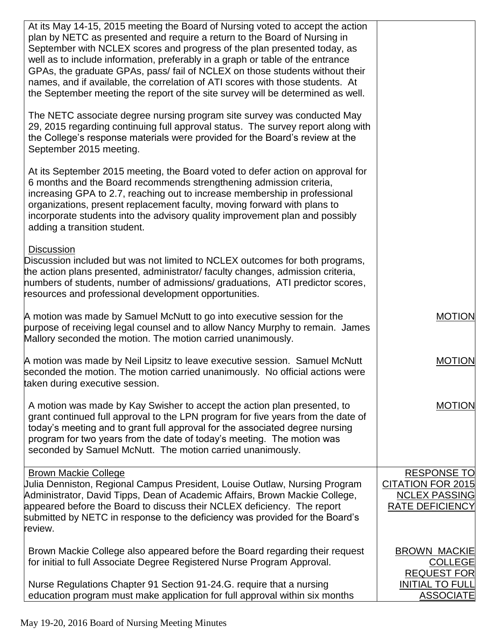| At its May 14-15, 2015 meeting the Board of Nursing voted to accept the action<br>plan by NETC as presented and require a return to the Board of Nursing in<br>September with NCLEX scores and progress of the plan presented today, as<br>well as to include information, preferably in a graph or table of the entrance<br>GPAs, the graduate GPAs, pass/ fail of NCLEX on those students without their<br>names, and if available, the correlation of ATI scores with those students. At<br>the September meeting the report of the site survey will be determined as well. |                                                                                                           |
|--------------------------------------------------------------------------------------------------------------------------------------------------------------------------------------------------------------------------------------------------------------------------------------------------------------------------------------------------------------------------------------------------------------------------------------------------------------------------------------------------------------------------------------------------------------------------------|-----------------------------------------------------------------------------------------------------------|
| The NETC associate degree nursing program site survey was conducted May<br>29, 2015 regarding continuing full approval status. The survey report along with<br>the College's response materials were provided for the Board's review at the<br>September 2015 meeting.                                                                                                                                                                                                                                                                                                         |                                                                                                           |
| At its September 2015 meeting, the Board voted to defer action on approval for<br>6 months and the Board recommends strengthening admission criteria,<br>increasing GPA to 2.7, reaching out to increase membership in professional<br>organizations, present replacement faculty, moving forward with plans to<br>incorporate students into the advisory quality improvement plan and possibly<br>adding a transition student.                                                                                                                                                |                                                                                                           |
| <b>Discussion</b><br>Discussion included but was not limited to NCLEX outcomes for both programs,<br>the action plans presented, administrator/ faculty changes, admission criteria,<br>humbers of students, number of admissions/graduations, ATI predictor scores,<br>resources and professional development opportunities.                                                                                                                                                                                                                                                  |                                                                                                           |
| A motion was made by Samuel McNutt to go into executive session for the<br>purpose of receiving legal counsel and to allow Nancy Murphy to remain. James<br>Mallory seconded the motion. The motion carried unanimously.                                                                                                                                                                                                                                                                                                                                                       | <b>MOTION</b>                                                                                             |
| A motion was made by Neil Lipsitz to leave executive session. Samuel McNutt<br>seconded the motion. The motion carried unanimously. No official actions were<br>taken during executive session.                                                                                                                                                                                                                                                                                                                                                                                | <b>MOTION</b>                                                                                             |
| A motion was made by Kay Swisher to accept the action plan presented, to<br>grant continued full approval to the LPN program for five years from the date of<br>today's meeting and to grant full approval for the associated degree nursing<br>program for two years from the date of today's meeting. The motion was<br>seconded by Samuel McNutt. The motion carried unanimously.                                                                                                                                                                                           | <b>MOTION</b>                                                                                             |
| <b>Brown Mackie College</b><br>Julia Denniston, Regional Campus President, Louise Outlaw, Nursing Program<br>Administrator, David Tipps, Dean of Academic Affairs, Brown Mackie College,<br>appeared before the Board to discuss their NCLEX deficiency. The report<br>submitted by NETC in response to the deficiency was provided for the Board's<br>review.                                                                                                                                                                                                                 | <b>RESPONSE TO</b><br><b>CITATION FOR 2015</b><br><b>NCLEX PASSING</b><br><b>RATE DEFICIENCY</b>          |
| Brown Mackie College also appeared before the Board regarding their request<br>for initial to full Associate Degree Registered Nurse Program Approval.<br>Nurse Regulations Chapter 91 Section 91-24.G. require that a nursing<br>education program must make application for full approval within six months                                                                                                                                                                                                                                                                  | <b>BROWN MACKIE</b><br><b>COLLEGE</b><br><b>REQUEST FOR</b><br><b>INITIAL TO FULL</b><br><b>ASSOCIATE</b> |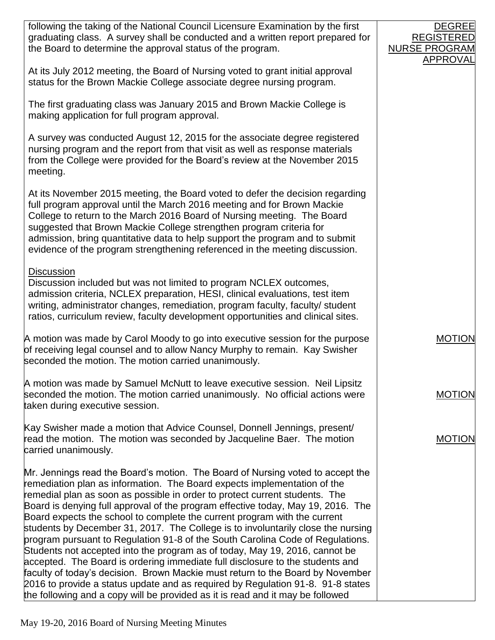| following the taking of the National Council Licensure Examination by the first<br>graduating class. A survey shall be conducted and a written report prepared for<br>the Board to determine the approval status of the program.                                                                                                                                                                                                                                                                                                                                                                                                                                                                                                                                                                                                                                                                                                                                                                        | <b>DEGREE</b><br><b>REGISTERED</b><br><b>NURSE PROGRAM</b> |
|---------------------------------------------------------------------------------------------------------------------------------------------------------------------------------------------------------------------------------------------------------------------------------------------------------------------------------------------------------------------------------------------------------------------------------------------------------------------------------------------------------------------------------------------------------------------------------------------------------------------------------------------------------------------------------------------------------------------------------------------------------------------------------------------------------------------------------------------------------------------------------------------------------------------------------------------------------------------------------------------------------|------------------------------------------------------------|
| At its July 2012 meeting, the Board of Nursing voted to grant initial approval<br>status for the Brown Mackie College associate degree nursing program.                                                                                                                                                                                                                                                                                                                                                                                                                                                                                                                                                                                                                                                                                                                                                                                                                                                 | <b>APPROVAL</b>                                            |
| The first graduating class was January 2015 and Brown Mackie College is<br>making application for full program approval.                                                                                                                                                                                                                                                                                                                                                                                                                                                                                                                                                                                                                                                                                                                                                                                                                                                                                |                                                            |
| A survey was conducted August 12, 2015 for the associate degree registered<br>nursing program and the report from that visit as well as response materials<br>from the College were provided for the Board's review at the November 2015<br>meeting.                                                                                                                                                                                                                                                                                                                                                                                                                                                                                                                                                                                                                                                                                                                                                    |                                                            |
| At its November 2015 meeting, the Board voted to defer the decision regarding<br>full program approval until the March 2016 meeting and for Brown Mackie<br>College to return to the March 2016 Board of Nursing meeting. The Board<br>suggested that Brown Mackie College strengthen program criteria for<br>admission, bring quantitative data to help support the program and to submit<br>evidence of the program strengthening referenced in the meeting discussion.                                                                                                                                                                                                                                                                                                                                                                                                                                                                                                                               |                                                            |
| <b>Discussion</b><br>Discussion included but was not limited to program NCLEX outcomes,<br>admission criteria, NCLEX preparation, HESI, clinical evaluations, test item<br>writing, administrator changes, remediation, program faculty, faculty/ student<br>ratios, curriculum review, faculty development opportunities and clinical sites.                                                                                                                                                                                                                                                                                                                                                                                                                                                                                                                                                                                                                                                           |                                                            |
| A motion was made by Carol Moody to go into executive session for the purpose<br>of receiving legal counsel and to allow Nancy Murphy to remain. Kay Swisher<br>seconded the motion. The motion carried unanimously.                                                                                                                                                                                                                                                                                                                                                                                                                                                                                                                                                                                                                                                                                                                                                                                    | <b>MOTION</b>                                              |
| A motion was made by Samuel McNutt to leave executive session. Neil Lipsitz<br>seconded the motion. The motion carried unanimously. No official actions were<br>taken during executive session.                                                                                                                                                                                                                                                                                                                                                                                                                                                                                                                                                                                                                                                                                                                                                                                                         | <b>MOTION</b>                                              |
| Kay Swisher made a motion that Advice Counsel, Donnell Jennings, present/<br>read the motion. The motion was seconded by Jacqueline Baer. The motion<br>carried unanimously.                                                                                                                                                                                                                                                                                                                                                                                                                                                                                                                                                                                                                                                                                                                                                                                                                            | <b>MOTION</b>                                              |
| Mr. Jennings read the Board's motion. The Board of Nursing voted to accept the<br>remediation plan as information. The Board expects implementation of the<br>remedial plan as soon as possible in order to protect current students. The<br>Board is denying full approval of the program effective today, May 19, 2016. The<br>Board expects the school to complete the current program with the current<br>students by December 31, 2017. The College is to involuntarily close the nursing<br>program pursuant to Regulation 91-8 of the South Carolina Code of Regulations.<br>Students not accepted into the program as of today, May 19, 2016, cannot be<br>accepted. The Board is ordering immediate full disclosure to the students and<br>faculty of today's decision. Brown Mackie must return to the Board by November<br>2016 to provide a status update and as required by Regulation 91-8. 91-8 states<br>the following and a copy will be provided as it is read and it may be followed |                                                            |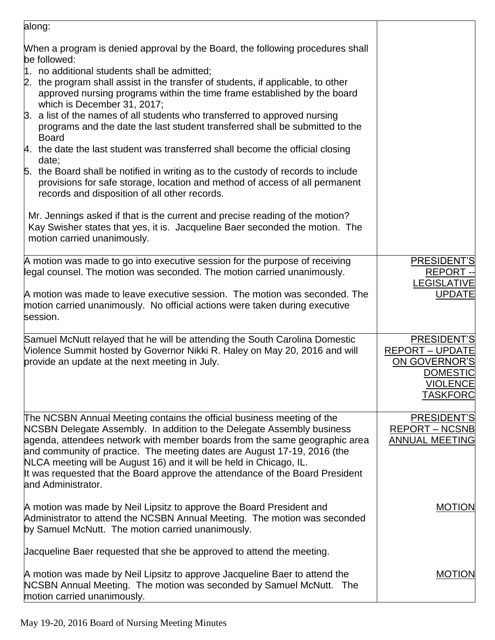| along:                                                                                                                                                                                                                                                                                                                                                                                                                                                                                                                                                                                                                                                                                                                                                                                                                                                                                                                                                                                                      |                                                                                                                 |
|-------------------------------------------------------------------------------------------------------------------------------------------------------------------------------------------------------------------------------------------------------------------------------------------------------------------------------------------------------------------------------------------------------------------------------------------------------------------------------------------------------------------------------------------------------------------------------------------------------------------------------------------------------------------------------------------------------------------------------------------------------------------------------------------------------------------------------------------------------------------------------------------------------------------------------------------------------------------------------------------------------------|-----------------------------------------------------------------------------------------------------------------|
| When a program is denied approval by the Board, the following procedures shall<br>be followed:<br>1. no additional students shall be admitted;<br>2. the program shall assist in the transfer of students, if applicable, to other<br>approved nursing programs within the time frame established by the board<br>which is December 31, 2017;<br>3. a list of the names of all students who transferred to approved nursing<br>programs and the date the last student transferred shall be submitted to the<br><b>Board</b><br>4. the date the last student was transferred shall become the official closing<br>date;<br>5. the Board shall be notified in writing as to the custody of records to include<br>provisions for safe storage, location and method of access of all permanent<br>records and disposition of all other records.<br>Mr. Jennings asked if that is the current and precise reading of the motion?<br>Kay Swisher states that yes, it is. Jacqueline Baer seconded the motion. The |                                                                                                                 |
| motion carried unanimously.                                                                                                                                                                                                                                                                                                                                                                                                                                                                                                                                                                                                                                                                                                                                                                                                                                                                                                                                                                                 |                                                                                                                 |
| A motion was made to go into executive session for the purpose of receiving<br>legal counsel. The motion was seconded. The motion carried unanimously.<br>A motion was made to leave executive session. The motion was seconded. The                                                                                                                                                                                                                                                                                                                                                                                                                                                                                                                                                                                                                                                                                                                                                                        | PRESIDENT'S<br><b>REPORT--</b><br><b>LEGISLATIVE</b><br><b>UPDATE</b>                                           |
| motion carried unanimously. No official actions were taken during executive<br>session.                                                                                                                                                                                                                                                                                                                                                                                                                                                                                                                                                                                                                                                                                                                                                                                                                                                                                                                     |                                                                                                                 |
| Samuel McNutt relayed that he will be attending the South Carolina Domestic<br>Violence Summit hosted by Governor Nikki R. Haley on May 20, 2016 and will<br>provide an update at the next meeting in July.                                                                                                                                                                                                                                                                                                                                                                                                                                                                                                                                                                                                                                                                                                                                                                                                 | PRESIDENT'S<br><b>REPORT - UPDATE</b><br>ON GOVERNOR'S<br><b>DOMESTIC</b><br><b>VIOLENCE</b><br><b>TASKFORC</b> |
| The NCSBN Annual Meeting contains the official business meeting of the<br>NCSBN Delegate Assembly. In addition to the Delegate Assembly business<br>agenda, attendees network with member boards from the same geographic area<br>and community of practice. The meeting dates are August 17-19, 2016 (the<br>NLCA meeting will be August 16) and it will be held in Chicago, IL.<br>It was requested that the Board approve the attendance of the Board President<br>land Administrator.                                                                                                                                                                                                                                                                                                                                                                                                                                                                                                                   | PRESIDENT'S<br><b>REPORT – NCSNB</b><br><b>ANNUAL MEETING</b>                                                   |
| A motion was made by Neil Lipsitz to approve the Board President and<br>Administrator to attend the NCSBN Annual Meeting. The motion was seconded<br>by Samuel McNutt. The motion carried unanimously.                                                                                                                                                                                                                                                                                                                                                                                                                                                                                                                                                                                                                                                                                                                                                                                                      | <b>MOTION</b>                                                                                                   |
| Jacqueline Baer requested that she be approved to attend the meeting.<br>A motion was made by Neil Lipsitz to approve Jacqueline Baer to attend the<br>NCSBN Annual Meeting. The motion was seconded by Samuel McNutt. The                                                                                                                                                                                                                                                                                                                                                                                                                                                                                                                                                                                                                                                                                                                                                                                  | <b>MOTION</b>                                                                                                   |
| motion carried unanimously.                                                                                                                                                                                                                                                                                                                                                                                                                                                                                                                                                                                                                                                                                                                                                                                                                                                                                                                                                                                 |                                                                                                                 |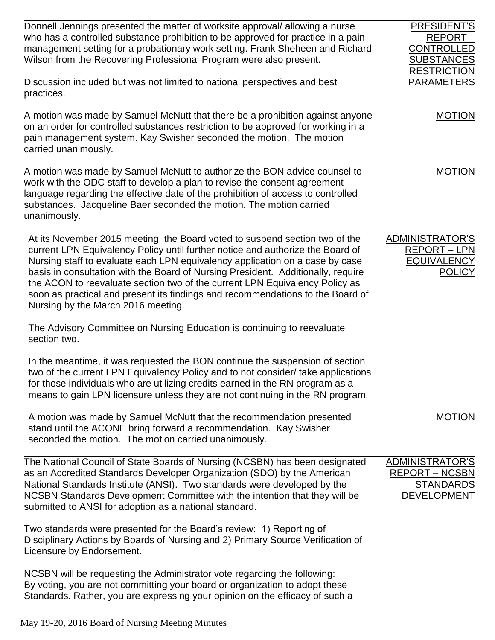| Donnell Jennings presented the matter of worksite approval/allowing a nurse<br>who has a controlled substance prohibition to be approved for practice in a pain<br>management setting for a probationary work setting. Frank Sheheen and Richard<br>Wilson from the Recovering Professional Program were also present.                                                                                                                                                                                                                   | PRESIDENT'S<br>REPORT-<br><b>CONTROLLED</b><br><b>SUBSTANCES</b><br><b>RESTRICTION</b> |
|------------------------------------------------------------------------------------------------------------------------------------------------------------------------------------------------------------------------------------------------------------------------------------------------------------------------------------------------------------------------------------------------------------------------------------------------------------------------------------------------------------------------------------------|----------------------------------------------------------------------------------------|
| Discussion included but was not limited to national perspectives and best<br>practices.                                                                                                                                                                                                                                                                                                                                                                                                                                                  | <b>PARAMETERS</b>                                                                      |
| A motion was made by Samuel McNutt that there be a prohibition against anyone<br>on an order for controlled substances restriction to be approved for working in a<br>pain management system. Kay Swisher seconded the motion. The motion<br>carried unanimously.                                                                                                                                                                                                                                                                        | <b>MOTION</b>                                                                          |
| A motion was made by Samuel McNutt to authorize the BON advice counsel to<br>work with the ODC staff to develop a plan to revise the consent agreement<br>language regarding the effective date of the prohibition of access to controlled<br>substances. Jacqueline Baer seconded the motion. The motion carried<br>unanimously.                                                                                                                                                                                                        | <b>MOTION</b>                                                                          |
| At its November 2015 meeting, the Board voted to suspend section two of the<br>current LPN Equivalency Policy until further notice and authorize the Board of<br>Nursing staff to evaluate each LPN equivalency application on a case by case<br>basis in consultation with the Board of Nursing President. Additionally, require<br>the ACON to reevaluate section two of the current LPN Equivalency Policy as<br>soon as practical and present its findings and recommendations to the Board of<br>Nursing by the March 2016 meeting. | <b>ADMINISTRATOR'S</b><br><b>REPORT - LPN</b><br><b>EQUIVALENCY</b><br><b>POLICY</b>   |
| The Advisory Committee on Nursing Education is continuing to reevaluate<br>section two.                                                                                                                                                                                                                                                                                                                                                                                                                                                  |                                                                                        |
| In the meantime, it was requested the BON continue the suspension of section<br>two of the current LPN Equivalency Policy and to not consider/ take applications<br>for those individuals who are utilizing credits earned in the RN program as a<br>means to gain LPN licensure unless they are not continuing in the RN program.                                                                                                                                                                                                       |                                                                                        |
| A motion was made by Samuel McNutt that the recommendation presented<br>stand until the ACONE bring forward a recommendation. Kay Swisher<br>seconded the motion. The motion carried unanimously.                                                                                                                                                                                                                                                                                                                                        | <b>MOTION</b>                                                                          |
| The National Council of State Boards of Nursing (NCSBN) has been designated<br>as an Accredited Standards Developer Organization (SDO) by the American<br>National Standards Institute (ANSI). Two standards were developed by the<br>NCSBN Standards Development Committee with the intention that they will be<br>submitted to ANSI for adoption as a national standard.                                                                                                                                                               | ADMINISTRATOR'S<br><b>REPORT - NCSBN</b><br><b>STANDARDS</b><br><b>DEVELOPMENT</b>     |
| Two standards were presented for the Board's review: 1) Reporting of<br>Disciplinary Actions by Boards of Nursing and 2) Primary Source Verification of<br>Licensure by Endorsement.                                                                                                                                                                                                                                                                                                                                                     |                                                                                        |
| NCSBN will be requesting the Administrator vote regarding the following:<br>By voting, you are not committing your board or organization to adopt these<br>Standards. Rather, you are expressing your opinion on the efficacy of such a                                                                                                                                                                                                                                                                                                  |                                                                                        |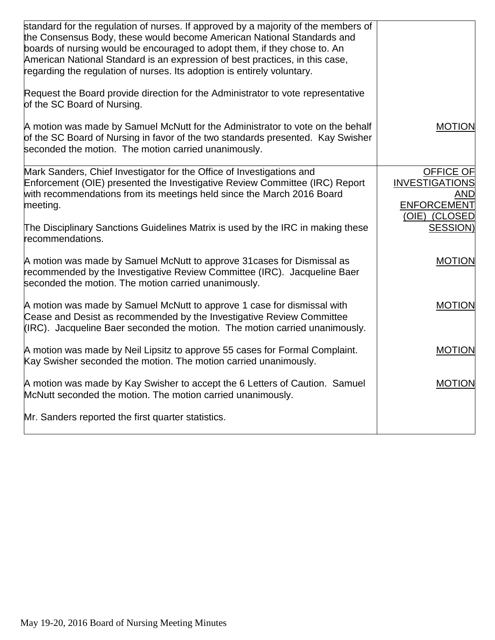| standard for the regulation of nurses. If approved by a majority of the members of<br>the Consensus Body, these would become American National Standards and<br>boards of nursing would be encouraged to adopt them, if they chose to. An<br>American National Standard is an expression of best practices, in this case,<br>regarding the regulation of nurses. Its adoption is entirely voluntary. |                                                                                         |
|------------------------------------------------------------------------------------------------------------------------------------------------------------------------------------------------------------------------------------------------------------------------------------------------------------------------------------------------------------------------------------------------------|-----------------------------------------------------------------------------------------|
| Request the Board provide direction for the Administrator to vote representative<br>of the SC Board of Nursing.                                                                                                                                                                                                                                                                                      |                                                                                         |
| A motion was made by Samuel McNutt for the Administrator to vote on the behalf<br>of the SC Board of Nursing in favor of the two standards presented. Kay Swisher<br>seconded the motion. The motion carried unanimously.                                                                                                                                                                            | <b>MOTION</b>                                                                           |
| Mark Sanders, Chief Investigator for the Office of Investigations and<br>Enforcement (OIE) presented the Investigative Review Committee (IRC) Report<br>with recommendations from its meetings held since the March 2016 Board<br>meeting.                                                                                                                                                           | <b>OFFICE OF</b><br><b>INVESTIGATIONS</b><br>AND<br><b>ENFORCEMENT</b><br>(OIE) (CLOSED |
| The Disciplinary Sanctions Guidelines Matrix is used by the IRC in making these<br>recommendations.                                                                                                                                                                                                                                                                                                  | <b>SESSION)</b>                                                                         |
| A motion was made by Samuel McNutt to approve 31 cases for Dismissal as<br>recommended by the Investigative Review Committee (IRC). Jacqueline Baer<br>seconded the motion. The motion carried unanimously.                                                                                                                                                                                          | <b>MOTION</b>                                                                           |
| A motion was made by Samuel McNutt to approve 1 case for dismissal with<br>Cease and Desist as recommended by the Investigative Review Committee<br>(IRC). Jacqueline Baer seconded the motion. The motion carried unanimously.                                                                                                                                                                      | <b>MOTION</b>                                                                           |
| A motion was made by Neil Lipsitz to approve 55 cases for Formal Complaint.<br>Kay Swisher seconded the motion. The motion carried unanimously.                                                                                                                                                                                                                                                      | <b>MOTION</b>                                                                           |
| A motion was made by Kay Swisher to accept the 6 Letters of Caution. Samuel<br>McNutt seconded the motion. The motion carried unanimously.                                                                                                                                                                                                                                                           | <b>MOTION</b>                                                                           |
| Mr. Sanders reported the first quarter statistics.                                                                                                                                                                                                                                                                                                                                                   |                                                                                         |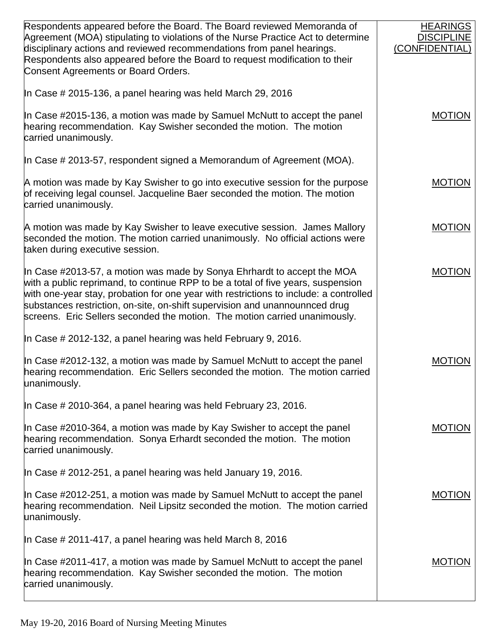| Respondents appeared before the Board. The Board reviewed Memoranda of<br>Agreement (MOA) stipulating to violations of the Nurse Practice Act to determine<br>disciplinary actions and reviewed recommendations from panel hearings.<br>Respondents also appeared before the Board to request modification to their<br>Consent Agreements or Board Orders.                                                        | <b>HEARINGS</b><br><b>DISCIPLINE</b><br>(CONFIDENTIAL) |
|-------------------------------------------------------------------------------------------------------------------------------------------------------------------------------------------------------------------------------------------------------------------------------------------------------------------------------------------------------------------------------------------------------------------|--------------------------------------------------------|
| In Case # 2015-136, a panel hearing was held March 29, 2016                                                                                                                                                                                                                                                                                                                                                       |                                                        |
| In Case #2015-136, a motion was made by Samuel McNutt to accept the panel<br>hearing recommendation. Kay Swisher seconded the motion. The motion<br>carried unanimously.                                                                                                                                                                                                                                          | <b>MOTION</b>                                          |
| In Case # 2013-57, respondent signed a Memorandum of Agreement (MOA).                                                                                                                                                                                                                                                                                                                                             |                                                        |
| A motion was made by Kay Swisher to go into executive session for the purpose<br>of receiving legal counsel. Jacqueline Baer seconded the motion. The motion<br>carried unanimously.                                                                                                                                                                                                                              | <b>MOTION</b>                                          |
| A motion was made by Kay Swisher to leave executive session. James Mallory<br>seconded the motion. The motion carried unanimously. No official actions were<br>taken during executive session.                                                                                                                                                                                                                    | <b>MOTION</b>                                          |
| In Case #2013-57, a motion was made by Sonya Ehrhardt to accept the MOA<br>with a public reprimand, to continue RPP to be a total of five years, suspension<br>with one-year stay, probation for one year with restrictions to include: a controlled<br>substances restriction, on-site, on-shift supervision and unannounnced drug<br>screens. Eric Sellers seconded the motion. The motion carried unanimously. | <b>MOTION</b>                                          |
| In Case # 2012-132, a panel hearing was held February 9, 2016.                                                                                                                                                                                                                                                                                                                                                    |                                                        |
| In Case #2012-132, a motion was made by Samuel McNutt to accept the panel<br>hearing recommendation. Eric Sellers seconded the motion. The motion carried<br>unanimously.                                                                                                                                                                                                                                         | <b>MOTION</b>                                          |
| In Case # 2010-364, a panel hearing was held February 23, 2016.                                                                                                                                                                                                                                                                                                                                                   |                                                        |
| In Case #2010-364, a motion was made by Kay Swisher to accept the panel<br>hearing recommendation. Sonya Erhardt seconded the motion. The motion<br>carried unanimously.                                                                                                                                                                                                                                          | <b>MOTION</b>                                          |
| In Case # 2012-251, a panel hearing was held January 19, 2016.                                                                                                                                                                                                                                                                                                                                                    |                                                        |
| In Case #2012-251, a motion was made by Samuel McNutt to accept the panel<br>hearing recommendation. Neil Lipsitz seconded the motion. The motion carried<br>unanimously.                                                                                                                                                                                                                                         | <b>MOTION</b>                                          |
| In Case # 2011-417, a panel hearing was held March 8, 2016                                                                                                                                                                                                                                                                                                                                                        |                                                        |
| In Case #2011-417, a motion was made by Samuel McNutt to accept the panel<br>hearing recommendation. Kay Swisher seconded the motion. The motion<br>carried unanimously.                                                                                                                                                                                                                                          | <b>MOTION</b>                                          |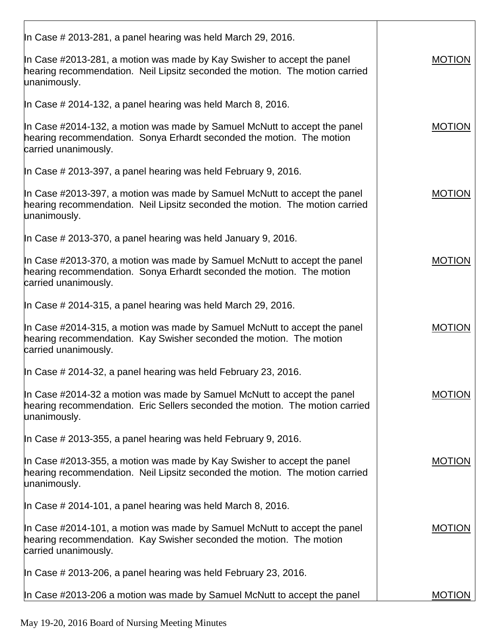| In Case # 2013-281, a panel hearing was held March 29, 2016.                                                                                                               |               |
|----------------------------------------------------------------------------------------------------------------------------------------------------------------------------|---------------|
| In Case #2013-281, a motion was made by Kay Swisher to accept the panel<br>hearing recommendation. Neil Lipsitz seconded the motion. The motion carried<br>unanimously.    | <b>MOTION</b> |
| In Case # 2014-132, a panel hearing was held March 8, 2016.                                                                                                                |               |
| In Case #2014-132, a motion was made by Samuel McNutt to accept the panel<br>hearing recommendation. Sonya Erhardt seconded the motion. The motion<br>carried unanimously. | <b>MOTION</b> |
| In Case $\#$ 2013-397, a panel hearing was held February 9, 2016.                                                                                                          |               |
| In Case #2013-397, a motion was made by Samuel McNutt to accept the panel<br>hearing recommendation. Neil Lipsitz seconded the motion. The motion carried<br>unanimously.  | <b>MOTION</b> |
| In Case $\#$ 2013-370, a panel hearing was held January 9, 2016.                                                                                                           |               |
| In Case #2013-370, a motion was made by Samuel McNutt to accept the panel<br>hearing recommendation. Sonya Erhardt seconded the motion. The motion<br>carried unanimously. | <b>MOTION</b> |
| In Case # 2014-315, a panel hearing was held March 29, 2016.                                                                                                               |               |
| In Case #2014-315, a motion was made by Samuel McNutt to accept the panel<br>hearing recommendation. Kay Swisher seconded the motion. The motion<br>carried unanimously.   | <b>MOTION</b> |
| In Case # 2014-32, a panel hearing was held February 23, 2016.                                                                                                             |               |
| In Case #2014-32 a motion was made by Samuel McNutt to accept the panel<br>hearing recommendation. Eric Sellers seconded the motion. The motion carried<br>unanimously.    | <b>MOTION</b> |
| In Case # 2013-355, a panel hearing was held February 9, 2016.                                                                                                             |               |
| In Case #2013-355, a motion was made by Kay Swisher to accept the panel<br>hearing recommendation. Neil Lipsitz seconded the motion. The motion carried<br>unanimously.    | <b>MOTION</b> |
| In Case # 2014-101, a panel hearing was held March 8, 2016.                                                                                                                |               |
| In Case #2014-101, a motion was made by Samuel McNutt to accept the panel<br>hearing recommendation. Kay Swisher seconded the motion. The motion<br>carried unanimously.   | <b>MOTION</b> |
| In Case # 2013-206, a panel hearing was held February 23, 2016.                                                                                                            |               |
| In Case #2013-206 a motion was made by Samuel McNutt to accept the panel                                                                                                   | <b>MOTION</b> |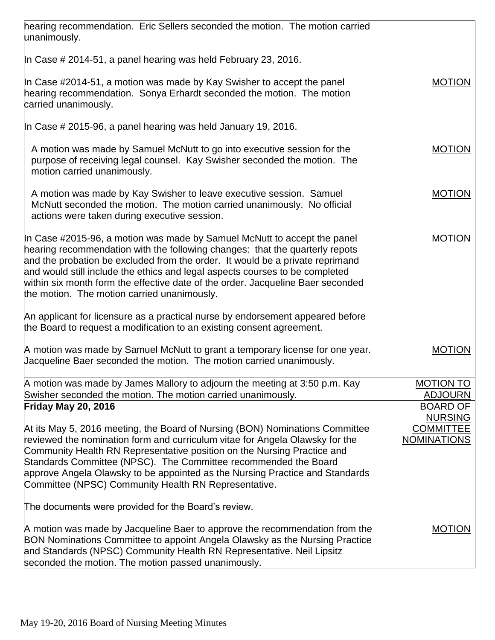| hearing recommendation. Eric Sellers seconded the motion. The motion carried                                                                                                                                                                                                                                                                                                                                                                                |                                    |
|-------------------------------------------------------------------------------------------------------------------------------------------------------------------------------------------------------------------------------------------------------------------------------------------------------------------------------------------------------------------------------------------------------------------------------------------------------------|------------------------------------|
| unanimously.                                                                                                                                                                                                                                                                                                                                                                                                                                                |                                    |
| In Case # 2014-51, a panel hearing was held February 23, 2016.                                                                                                                                                                                                                                                                                                                                                                                              |                                    |
| In Case #2014-51, a motion was made by Kay Swisher to accept the panel<br>hearing recommendation. Sonya Erhardt seconded the motion. The motion<br>carried unanimously.                                                                                                                                                                                                                                                                                     | <b>MOTION</b>                      |
| In Case $\#$ 2015-96, a panel hearing was held January 19, 2016.                                                                                                                                                                                                                                                                                                                                                                                            |                                    |
| A motion was made by Samuel McNutt to go into executive session for the<br>purpose of receiving legal counsel. Kay Swisher seconded the motion. The<br>motion carried unanimously.                                                                                                                                                                                                                                                                          | <b>MOTION</b>                      |
| A motion was made by Kay Swisher to leave executive session. Samuel<br>McNutt seconded the motion. The motion carried unanimously. No official<br>actions were taken during executive session.                                                                                                                                                                                                                                                              | <b>MOTION</b>                      |
| In Case #2015-96, a motion was made by Samuel McNutt to accept the panel<br>hearing recommendation with the following changes: that the quarterly repots<br>and the probation be excluded from the order. It would be a private reprimand<br>and would still include the ethics and legal aspects courses to be completed<br>within six month form the effective date of the order. Jacqueline Baer seconded<br>the motion. The motion carried unanimously. | <b>MOTION</b>                      |
| An applicant for licensure as a practical nurse by endorsement appeared before<br>the Board to request a modification to an existing consent agreement.                                                                                                                                                                                                                                                                                                     |                                    |
| A motion was made by Samuel McNutt to grant a temporary license for one year.<br>Jacqueline Baer seconded the motion. The motion carried unanimously.                                                                                                                                                                                                                                                                                                       | <b>MOTION</b>                      |
| A motion was made by James Mallory to adjourn the meeting at 3:50 p.m. Kay                                                                                                                                                                                                                                                                                                                                                                                  | <b>MOTION TO</b>                   |
| Swisher seconded the motion. The motion carried unanimously.                                                                                                                                                                                                                                                                                                                                                                                                | <b>ADJOURN</b>                     |
| <b>Friday May 20, 2016</b>                                                                                                                                                                                                                                                                                                                                                                                                                                  | <b>BOARD OF</b>                    |
| At its May 5, 2016 meeting, the Board of Nursing (BON) Nominations Committee                                                                                                                                                                                                                                                                                                                                                                                | <b>NURSING</b><br><b>COMMITTEE</b> |
| reviewed the nomination form and curriculum vitae for Angela Olawsky for the                                                                                                                                                                                                                                                                                                                                                                                | <b>NOMINATIONS</b>                 |
| Community Health RN Representative position on the Nursing Practice and                                                                                                                                                                                                                                                                                                                                                                                     |                                    |
| Standards Committee (NPSC). The Committee recommended the Board                                                                                                                                                                                                                                                                                                                                                                                             |                                    |
| approve Angela Olawsky to be appointed as the Nursing Practice and Standards                                                                                                                                                                                                                                                                                                                                                                                |                                    |
| Committee (NPSC) Community Health RN Representative.                                                                                                                                                                                                                                                                                                                                                                                                        |                                    |
| The documents were provided for the Board's review.                                                                                                                                                                                                                                                                                                                                                                                                         |                                    |
| A motion was made by Jacqueline Baer to approve the recommendation from the<br>BON Nominations Committee to appoint Angela Olawsky as the Nursing Practice<br>and Standards (NPSC) Community Health RN Representative. Neil Lipsitz<br>seconded the motion. The motion passed unanimously.                                                                                                                                                                  | <b>MOTION</b>                      |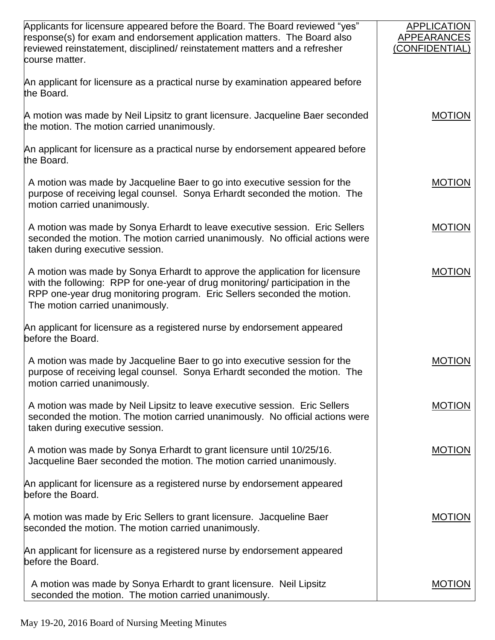| Applicants for licensure appeared before the Board. The Board reviewed "yes"<br>response(s) for exam and endorsement application matters. The Board also<br>reviewed reinstatement, disciplined/ reinstatement matters and a refresher<br>course matter.                   | <b>APPLICATION</b><br>APPEARANCES<br>(CONFIDENTIAL) |
|----------------------------------------------------------------------------------------------------------------------------------------------------------------------------------------------------------------------------------------------------------------------------|-----------------------------------------------------|
| An applicant for licensure as a practical nurse by examination appeared before<br>the Board.                                                                                                                                                                               |                                                     |
| A motion was made by Neil Lipsitz to grant licensure. Jacqueline Baer seconded<br>the motion. The motion carried unanimously.                                                                                                                                              | <b>MOTION</b>                                       |
| An applicant for licensure as a practical nurse by endorsement appeared before<br>the Board.                                                                                                                                                                               |                                                     |
| A motion was made by Jacqueline Baer to go into executive session for the<br>purpose of receiving legal counsel. Sonya Erhardt seconded the motion. The<br>motion carried unanimously.                                                                                     | <b>MOTION</b>                                       |
| A motion was made by Sonya Erhardt to leave executive session. Eric Sellers<br>seconded the motion. The motion carried unanimously. No official actions were<br>taken during executive session.                                                                            | <b>MOTION</b>                                       |
| A motion was made by Sonya Erhardt to approve the application for licensure<br>with the following: RPP for one-year of drug monitoring/ participation in the<br>RPP one-year drug monitoring program. Eric Sellers seconded the motion.<br>The motion carried unanimously. | <b>MOTION</b>                                       |
| An applicant for licensure as a registered nurse by endorsement appeared<br>before the Board.                                                                                                                                                                              |                                                     |
| A motion was made by Jacqueline Baer to go into executive session for the<br>purpose of receiving legal counsel. Sonya Erhardt seconded the motion. The<br>motion carried unanimously.                                                                                     | <b>MOTION</b>                                       |
| A motion was made by Neil Lipsitz to leave executive session. Eric Sellers<br>seconded the motion. The motion carried unanimously. No official actions were<br>taken during executive session.                                                                             | <b>MOTION</b>                                       |
| A motion was made by Sonya Erhardt to grant licensure until 10/25/16.<br>Jacqueline Baer seconded the motion. The motion carried unanimously.                                                                                                                              | <b>MOTION</b>                                       |
| An applicant for licensure as a registered nurse by endorsement appeared<br>before the Board.                                                                                                                                                                              |                                                     |
| A motion was made by Eric Sellers to grant licensure. Jacqueline Baer<br>seconded the motion. The motion carried unanimously.                                                                                                                                              | <b>MOTION</b>                                       |
| An applicant for licensure as a registered nurse by endorsement appeared<br>before the Board.                                                                                                                                                                              |                                                     |
| A motion was made by Sonya Erhardt to grant licensure. Neil Lipsitz<br>seconded the motion. The motion carried unanimously.                                                                                                                                                | <b>MOTION</b>                                       |